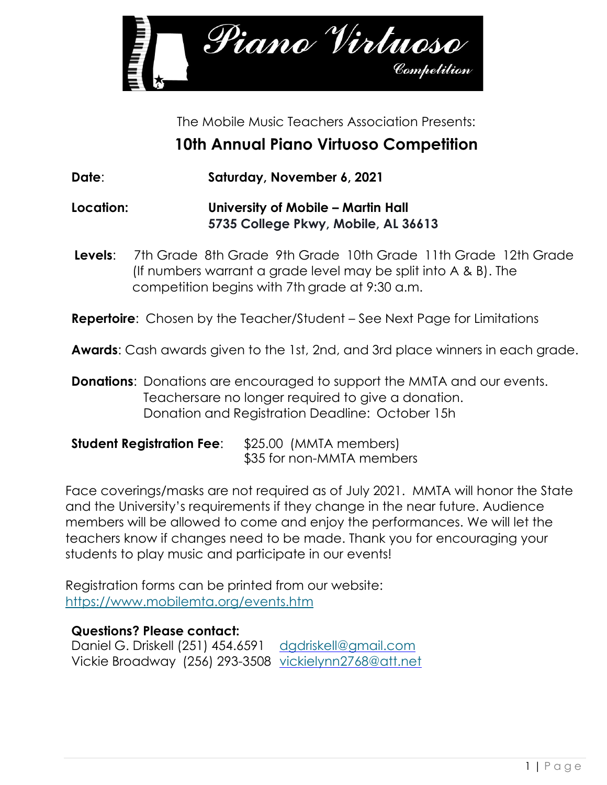

The Mobile Music Teachers Association Presents:

## **10th Annual Piano Virtuoso Competition**

**Date**: **Saturday, November 6, 2021**

**Location: University of Mobile – Martin Hall 5735 College Pkwy, Mobile, AL 36613**

**Levels**: 7th Grade 8th Grade 9th Grade 10th Grade 11th Grade 12th Grade (If numbers warrant a grade level may be split into A & B). The competition begins with 7th grade at 9:30 a.m.

**Repertoire:** Chosen by the Teacher/Student – See Next Page for Limitations

**Awards**: Cash awards given to the 1st, 2nd, and 3rd place winners in each grade.

**Donations:** Donations are encouraged to support the MMTA and our events. Teachersare no longer required to give a donation. Donation and Registration Deadline: October 15h

## **Student Registration Fee**: \$25.00 (MMTA members) \$35 for non-MMTA members

Face coverings/masks are not required as of July 2021. MMTA will honor the State and the University's requirements if they change in the near future. Audience members will be allowed to come and enjoy the performances. We will let the teachers know if changes need to be made. Thank you for encouraging your students to play music and participate in our events!

Registration forms can be printed from our website: <https://www.mobilemta.org/events.htm>

## **Questions? Please contact:**

Daniel G. Driskell (251) 454.6591 [dgdriskell@gmail.com](mailto:dgdriskell@gmail.com) Vickie Broadway (256) 293-3508 [vickielynn2768@att.net](mailto:vickielynn2768@att.net)